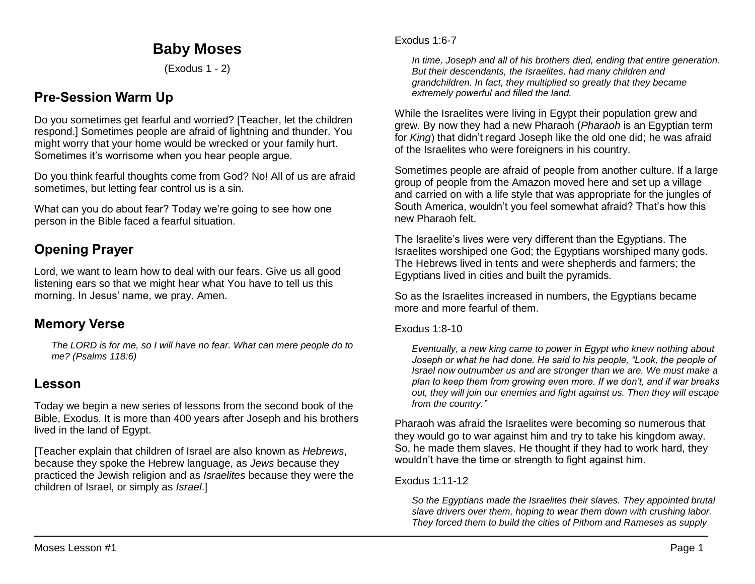# **Baby Moses**

(Exodus 1 - 2)

# **Pre-Session Warm Up**

Do you sometimes get fearful and worried? [Teacher, let the children respond.] Sometimes people are afraid of lightning and thunder. You might worry that your home would be wrecked or your family hurt. Sometimes it's worrisome when you hear people argue.

Do you think fearful thoughts come from God? No! All of us are afraid sometimes, but letting fear control us is a sin.

What can you do about fear? Today we're going to see how one person in the Bible faced a fearful situation.

# **Opening Prayer**

Lord, we want to learn how to deal with our fears. Give us all good listening ears so that we might hear what You have to tell us this morning. In Jesus' name, we pray. Amen.

## **Memory Verse**

*The LORD is for me, so I will have no fear. What can mere people do to me? (Psalms 118:6)*

## **Lesson**

Today we begin a new series of lessons from the second book of the Bible, Exodus. It is more than 400 years after Joseph and his brothers lived in the land of Egypt.

[Teacher explain that children of Israel are also known as *Hebrews*, because they spoke the Hebrew language, as *Jews* because they practiced the Jewish religion and as *Israelites* because they were the children of Israel, or simply as *Israel*.]

*In time, Joseph and all of his brothers died, ending that entire generation. But their descendants, the Israelites, had many children and grandchildren. In fact, they multiplied so greatly that they became extremely powerful and filled the land.*

While the Israelites were living in Egypt their population grew and grew. By now they had a new Pharaoh (*Pharaoh* is an Egyptian term for *King*) that didn't regard Joseph like the old one did; he was afraid of the Israelites who were foreigners in his country.

Sometimes people are afraid of people from another culture. If a large group of people from the Amazon moved here and set up a village and carried on with a life style that was appropriate for the jungles of South America, wouldn't you feel somewhat afraid? That's how this new Pharaoh felt.

The Israelite's lives were very different than the Egyptians. The Israelites worshiped one God; the Egyptians worshiped many gods. The Hebrews lived in tents and were shepherds and farmers; the Egyptians lived in cities and built the pyramids.

So as the Israelites increased in numbers, the Egyptians became more and more fearful of them.

Exodus 1:8-10

*Eventually, a new king came to power in Egypt who knew nothing about Joseph or what he had done. He said to his people, "Look, the people of Israel now outnumber us and are stronger than we are. We must make a plan to keep them from growing even more. If we don't, and if war breaks out, they will join our enemies and fight against us. Then they will escape from the country."*

Pharaoh was afraid the Israelites were becoming so numerous that they would go to war against him and try to take his kingdom away. So, he made them slaves. He thought if they had to work hard, they wouldn't have the time or strength to fight against him.

Exodus 1:11-12

*So the Egyptians made the Israelites their slaves. They appointed brutal slave drivers over them, hoping to wear them down with crushing labor. They forced them to build the cities of Pithom and Rameses as supply*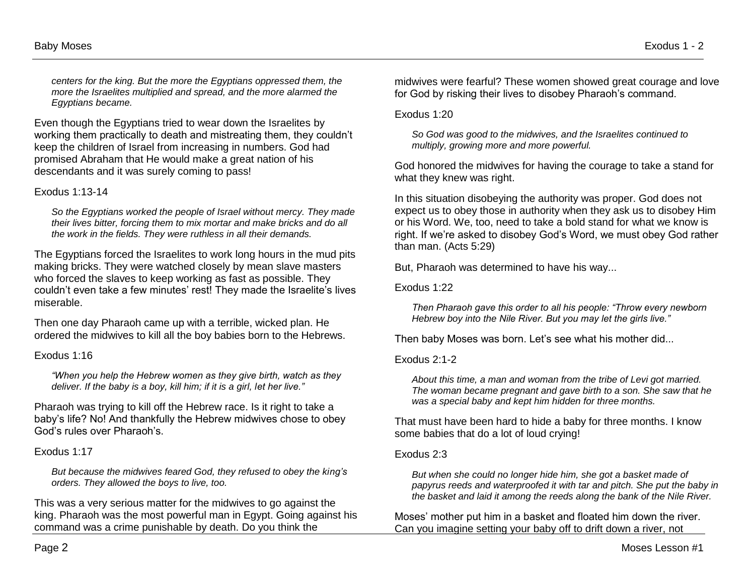*centers for the king. But the more the Egyptians oppressed them, the more the Israelites multiplied and spread, and the more alarmed the Egyptians became.*

Even though the Egyptians tried to wear down the Israelites by working them practically to death and mistreating them, they couldn't keep the children of Israel from increasing in numbers. God had promised Abraham that He would make a great nation of his descendants and it was surely coming to pass!

#### Exodus 1:13-14

*So the Egyptians worked the people of Israel without mercy. They made their lives bitter, forcing them to mix mortar and make bricks and do all the work in the fields. They were ruthless in all their demands.*

The Egyptians forced the Israelites to work long hours in the mud pits making bricks. They were watched closely by mean slave masters who forced the slaves to keep working as fast as possible. They couldn't even take a few minutes' rest! They made the Israelite's lives miserable.

Then one day Pharaoh came up with a terrible, wicked plan. He ordered the midwives to kill all the boy babies born to the Hebrews.

Exodus 1:16

*"When you help the Hebrew women as they give birth, watch as they deliver. If the baby is a boy, kill him; if it is a girl, let her live."*

Pharaoh was trying to kill off the Hebrew race. Is it right to take a baby's life? No! And thankfully the Hebrew midwives chose to obey God's rules over Pharaoh's.

#### Exodus 1:17

*But because the midwives feared God, they refused to obey the king's orders. They allowed the boys to live, too.*

This was a very serious matter for the midwives to go against the king. Pharaoh was the most powerful man in Egypt. Going against his command was a crime punishable by death. Do you think the

midwives were fearful? These women showed great courage and love for God by risking their lives to disobey Pharaoh's command.

Exodus 1:20

*So God was good to the midwives, and the Israelites continued to multiply, growing more and more powerful.*

God honored the midwives for having the courage to take a stand for what they knew was right.

In this situation disobeying the authority was proper. God does not expect us to obey those in authority when they ask us to disobey Him or his Word. We, too, need to take a bold stand for what we know is right. If we're asked to disobey God's Word, we must obey God rather than man. (Acts 5:29)

But, Pharaoh was determined to have his way...

Exodus 1:22

*Then Pharaoh gave this order to all his people: "Throw every newborn Hebrew boy into the Nile River. But you may let the girls live."*

Then baby Moses was born. Let's see what his mother did...

#### Exodus 2:1-2

*About this time, a man and woman from the tribe of Levi got married. The woman became pregnant and gave birth to a son. She saw that he was a special baby and kept him hidden for three months.* 

That must have been hard to hide a baby for three months. I know some babies that do a lot of loud crying!

#### Exodus 2:3

*But when she could no longer hide him, she got a basket made of papyrus reeds and waterproofed it with tar and pitch. She put the baby in the basket and laid it among the reeds along the bank of the Nile River.*

Moses' mother put him in a basket and floated him down the river. Can you imagine setting your baby off to drift down a river, not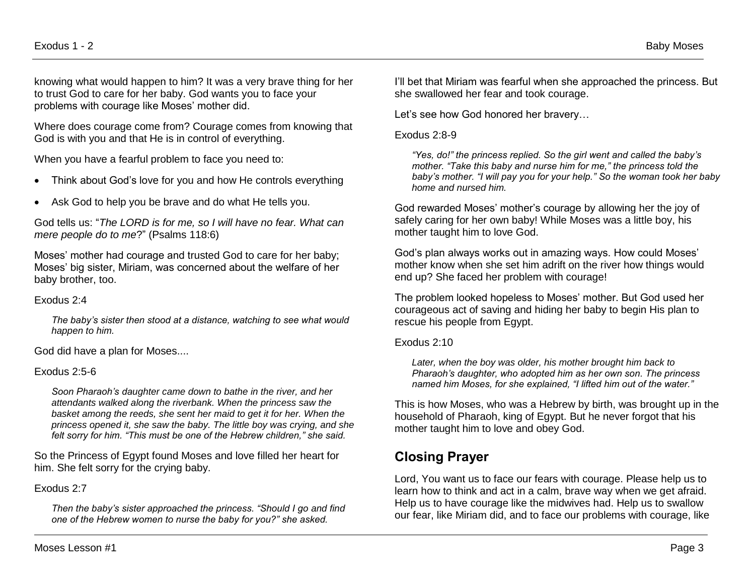knowing what would happen to him? It was a very brave thing for her to trust God to care for her baby. God wants you to face your problems with courage like Moses' mother did.

Where does courage come from? Courage comes from knowing that God is with you and that He is in control of everything.

When you have a fearful problem to face you need to:

- Think about God's love for you and how He controls everything
- Ask God to help you be brave and do what He tells you.

God tells us: "*The LORD is for me, so I will have no fear. What can mere people do to me*?" (Psalms 118:6)

Moses' mother had courage and trusted God to care for her baby; Moses' big sister, Miriam, was concerned about the welfare of her baby brother, too.

#### Exodus 2:4

*The baby's sister then stood at a distance, watching to see what would happen to him.*

God did have a plan for Moses....

#### Exodus 2:5-6

*Soon Pharaoh's daughter came down to bathe in the river, and her attendants walked along the riverbank. When the princess saw the basket among the reeds, she sent her maid to get it for her. When the princess opened it, she saw the baby. The little boy was crying, and she felt sorry for him. "This must be one of the Hebrew children," she said.* 

So the Princess of Egypt found Moses and love filled her heart for him. She felt sorry for the crying baby.

#### Exodus 2:7

*Then the baby's sister approached the princess. "Should I go and find one of the Hebrew women to nurse the baby for you?" she asked.*

I'll bet that Miriam was fearful when she approached the princess. But she swallowed her fear and took courage.

Let's see how God honored her bravery…

#### Exodus 2:8-9

*"Yes, do!" the princess replied. So the girl went and called the baby's mother. "Take this baby and nurse him for me," the princess told the baby's mother. "I will pay you for your help." So the woman took her baby home and nursed him.* 

God rewarded Moses' mother's courage by allowing her the joy of safely caring for her own baby! While Moses was a little boy, his mother taught him to love God.

God's plan always works out in amazing ways. How could Moses' mother know when she set him adrift on the river how things would end up? She faced her problem with courage!

The problem looked hopeless to Moses' mother. But God used her courageous act of saving and hiding her baby to begin His plan to rescue his people from Egypt.

Exodus 2:10

*Later, when the boy was older, his mother brought him back to Pharaoh's daughter, who adopted him as her own son. The princess named him Moses, for she explained, "I lifted him out of the water."* 

This is how Moses, who was a Hebrew by birth, was brought up in the household of Pharaoh, king of Egypt. But he never forgot that his mother taught him to love and obey God.

# **Closing Prayer**

Lord, You want us to face our fears with courage. Please help us to learn how to think and act in a calm, brave way when we get afraid. Help us to have courage like the midwives had. Help us to swallow our fear, like Miriam did, and to face our problems with courage, like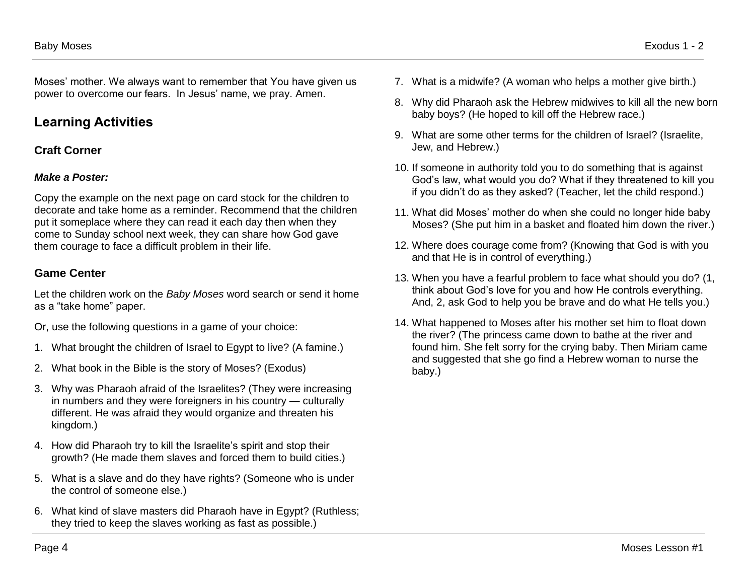Baby Moses Exodus 1 - 2

Moses' mother. We always want to remember that You have given us power to overcome our fears. In Jesus' name, we pray. Amen.

## **Learning Activities**

### **Craft Corner**

### *Make a Poster:*

Copy the example on the next page on card stock for the children to decorate and take home as a reminder. Recommend that the children put it someplace where they can read it each day then when they come to Sunday school next week, they can share how God gave them courage to face a difficult problem in their life.

### **Game Center**

Let the children work on the *Baby Moses* word search or send it home as a "take home" paper.

Or, use the following questions in a game of your choice:

- 1. What brought the children of Israel to Egypt to live? (A famine.)
- 2. What book in the Bible is the story of Moses? (Exodus)
- 3. Why was Pharaoh afraid of the Israelites? (They were increasing in numbers and they were foreigners in his country — culturally different. He was afraid they would organize and threaten his kingdom.)
- 4. How did Pharaoh try to kill the Israelite's spirit and stop their growth? (He made them slaves and forced them to build cities.)
- 5. What is a slave and do they have rights? (Someone who is under the control of someone else.)
- 6. What kind of slave masters did Pharaoh have in Egypt? (Ruthless; they tried to keep the slaves working as fast as possible.)
- 7. What is a midwife? (A woman who helps a mother give birth.)
- 8. Why did Pharaoh ask the Hebrew midwives to kill all the new born baby boys? (He hoped to kill off the Hebrew race.)
- 9. What are some other terms for the children of Israel? (Israelite, Jew, and Hebrew.)
- 10. If someone in authority told you to do something that is against God's law, what would you do? What if they threatened to kill you if you didn't do as they asked? (Teacher, let the child respond.)
- 11. What did Moses' mother do when she could no longer hide baby Moses? (She put him in a basket and floated him down the river.)
- 12. Where does courage come from? (Knowing that God is with you and that He is in control of everything.)
- 13. When you have a fearful problem to face what should you do? (1, think about God's love for you and how He controls everything. And, 2, ask God to help you be brave and do what He tells you.)
- 14. What happened to Moses after his mother set him to float down the river? (The princess came down to bathe at the river and found him. She felt sorry for the crying baby. Then Miriam came and suggested that she go find a Hebrew woman to nurse the baby.)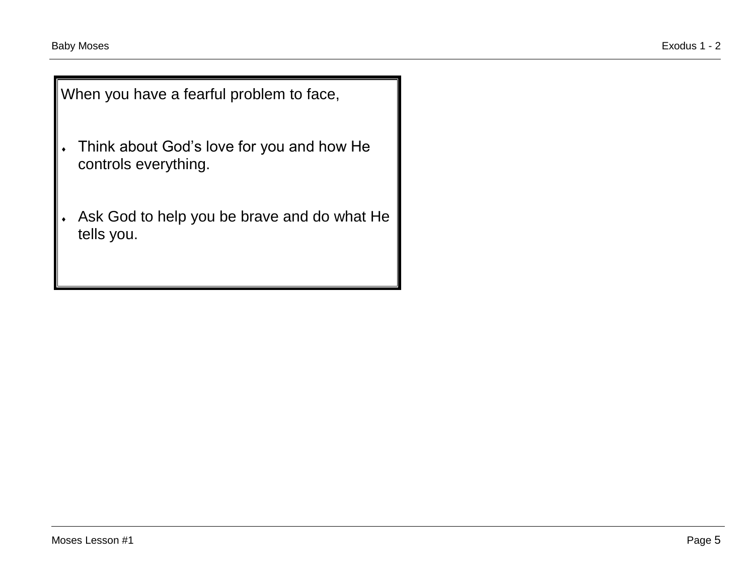When you have a fearful problem to face,

- Think about God's love for you and how He controls everything.
- Ask God to help you be brave and do what He tells you.